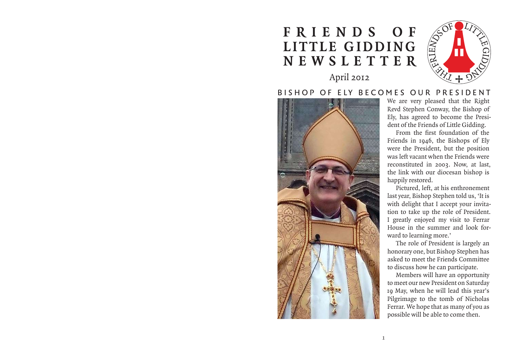# **F R I E N D S O F LITTLE GIDDING NEWSLETTER** April 2012

# BISHOP OF ELY BECOMES OUR PRESIDENT



We are very pleased that the Right Revd Stephen Conway, the Bishop of Ely, has agreed to become the President of the Friends of Little Gidding.

ENEWOO

G  $\varXi$ 

D NI G

From the first foundation of the Friends in 1946, the Bishops of Ely were the President, but the position was left vacant when the Friends were reconstituted in 2003. Now, at last, the link with our diocesan bishop is happily restored.

Pictured, left, at his enthronement last year, Bishop Stephen told us, 'It is with delight that I accept your invitation to take up the role of President. I greatly enjoyed my visit to Ferrar House in the summer and look forward to learning more.'

The role of President is largely an honorary one, but Bishop Stephen has asked to meet the Friends Committee to discuss how he can participate.

Members will have an opportunity to meet our new President on Saturday 19 May, when he will lead this year's Pilgrimage to the tomb of Nicholas Ferrar. We hope that as many of you as possible will be able to come then.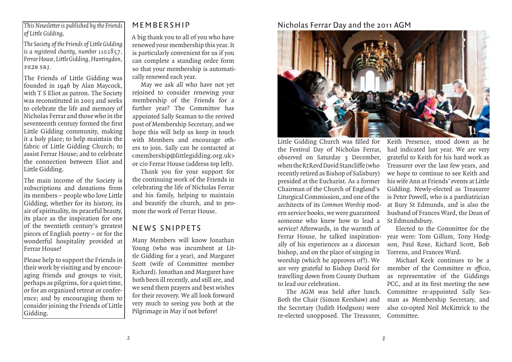#### *This Newsletter is published by the Friends of Little Gidding*.

*The Society of the Friends of Little Gidding is a registered charity, number 1102857, Ferrar House, Little Gidding, Huntingdon,*  pe28 5rj*.*

The Friends of Little Gidding was founded in 1946 by Alan Maycock, with T S Eliot as patron. The Society was reconstituted in 2003 and seeks to celebrate the life and memory of Nicholas Ferrar and those who in the seventeenth century formed the first Little Gidding community, making it a holy place; to help maintain the fabric of Little Gidding Church; to assist Ferrar House; and to celebrate the connection between Eliot and Little Gidding.

The main income of the Society is subscriptions and donations from its members – people who love Little Gidding, whether for its history, its air of spirituality, its peaceful beauty, its place as the inspiration for one of the twentieth century's greatest pieces of English poetry – or for the wonderful hospitality provided at Ferrar House!

Please help to support the Friends in their work by visiting and by encouraging friends and groups to visit, perhaps as pilgrims, for a quiet time, or for an organized retreat or conference; and by encouraging them to consider joining the Friends of Little Gidding.

## MEMBERSHIP

A big thank you to all of you who have renewed your membership this year. It is particularly convenient for us if you can complete a standing order form so that your membership is automatically renewed each year.

May we ask all who have not yet rejoined to consider renewing your membership of the Friends for a further year? The Committee has appointed Sally Seaman to the revived post of Membership Secretary, and we hope this will help us keep in touch with Members and encourage others to join. Sally can be contacted at <membership@littlegidding.org.uk> or c/o Ferrar House (address top left).

Thank you for your support for the continuing work of the Friends in celebrating the life of Nicholas Ferrar and his family, helping to maintain and beautify the church, and to promote the work of Ferrar House.

# NEWS SNIPPETS

Many Members will know Jonathan Young (who was incumbent at Little Gidding for a year), and Margaret Scott (wife of Committee member Richard). Jonathan and Margaret have both been ill recently, and still are, and we send them prayers and best wishes for their recovery. We all look forward very much to seeing you both at the Pilgrimage in May if not before!

## Nicholas Ferrar Day and the 2011 AGM



Little Gidding Church was filled for the Festival Day of Nicholas Ferrar, observed on Saturday 3 December, when the Rt Revd David Stancliffe (who recently retired as Bishop of Salisbury) presided at the Eucharist. As a former Chairman of the Church of England's Liturgical Commission, and one of the architects of its *Common Worship* modern service books, we were guaranteed someone who knew how to lead a service! Afterwards, in the warmth of Ferrar House, he talked inspirationally of his experiences as a diocesan bishop, and on the place of singing in worship (which he approves of!). We are very grateful to Bishop David for travelling down from County Durham to lead our celebration. Little Gidding Church was filled for<br>the Festival Day of Nicholas Ferrar,<br>observed on Saturday 3 December,<br>when the RtRevd David Stancliffe (who<br>recently retired as Bishop of Salisbury)<br>presided at the Eucharist. As a form

The AGM was held after lunch. Both the Chair (Simon Kershaw) and the Secretary (Judith Hodgson) were re-elected unopposed. The Treasurer,

Keith Presence, stood down as he had indicated last year. We are very grateful to Keith for his hard work as Treasurer over the last few years, and we hope to continue to see Keith and his wife Ann at Friends' events at Little Gidding. Newly-elected as Treasurer is Peter Powell, who is a paediatrician at Bury St Edmunds, and is also the husband of Frances Ward, the Dean of St Edmundsbury.

Elected to the Committee for the year were: Tom Gillum, Tony Hodgson, Paul Rose, Richard Scott, Bob Torrens, and Frances Ward.

Michael Keck continues to be a member of the Committee *ex officio*, as representative of the Giddings PCC, and at its first meeting the new Committee re-appointed Sally Seaman as Membership Secretary, and also co-opted Neil McKittrick to the Committee.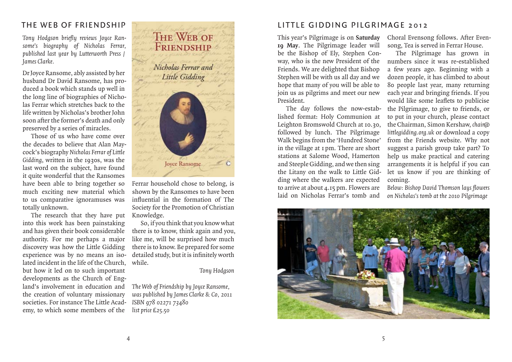## THE WEB OF FRIENDSHIP

Tony Hodgson briefly reviews Joyce Ran*some's biography of Nicholas Ferrar, published last year by Lutterworth Press / James Clarke.*

Dr Joyce Ransome, ably assisted by her husband Dr David Ransome, has produced a book which stands up well in the long line of biographies of Nicholas Ferrar which stretches back to the life written by Nicholas's brother John soon after the former's death and only preserved by a series of miracles.

Those of us who have come over the decades to believe that Alan Maycock's biography *Nicholas Ferrar of Little Gidding*, written in the 1930s, was the last word on the subject, have found it quite wonderful that the Ransomes have been able to bring together so much exciting new material which to us comparative ignoramuses was totally unknown.

The research that they have put Knowledge. into this work has been painstaking and has given their book considerable authority. For me perhaps a major discovery was how the Little Gidding experience was by no means an isolated incident in the life of the Church, but how it led on to such important developments as the Church of England's involvement in education and the creation of voluntary missionary societies. For instance The Little Academy, to which some members of the



Ferrar household chose to belong, is shown by the Ransomes to have been influential in the formation of The Society for the Promotion of Christian

So, if you think that you know what there is to know, think again and you, like me, will be surprised how much there is to know. Be prepared for some detailed study, but it is infinitely worth while.

#### *Tony Hodgson*

*The Web of Friendship by Joyce Ransome, was published by James Clarke & Co, 2011 ISBN 978 02271 73480 list price £25.50*

## LITTLE GIDDING PILGRIMAGE 2012

This year's Pilgrimage is on **Saturday 19 May**. The Pilgrimage leader will be the Bishop of Ely, Stephen Conway, who is the new President of the Friends. We are delighted that Bishop Stephen will be with us all day and we hope that many of you will be able to join us as pilgrims and meet our new President.

The day follows the now-established format: Holy Communion at Leighton Bromswold Church at 10.30, followed by lunch. The Pilgrimage Walk begins from the 'Hundred Stone' in the village at 1 pm. There are short stations at Salome Wood, Hamerton and Steeple Gidding, and we then sing the Litany on the walk to Little Gidding where the walkers are expected to arrive at about 4.15 pm. Flowers are laid on Nicholas Ferrar's tomb and

Choral Evensong follows. After Evensong, Tea is served in Ferrar House.

The Pilgrimage has grown in numbers since it was re-established a few years ago. Beginning with a dozen people, it has climbed to about 80 people last year, many returning each year and bringing friends. If you would like some leaflets to publicise the Pilgrimage, to give to friends, or to put in your church, please contact the Chairman, Simon Kershaw, *chair@ littlegidding.org.uk* or download a copy from the Friends website. Why not suggest a parish group take part? To help us make practical and catering arrangements it is helpful if you can let us know if you are thinking of coming.

*Below: Bishop David Thomson lays fl owers on Nicholas's tomb at the 2010 Pilgrimage*

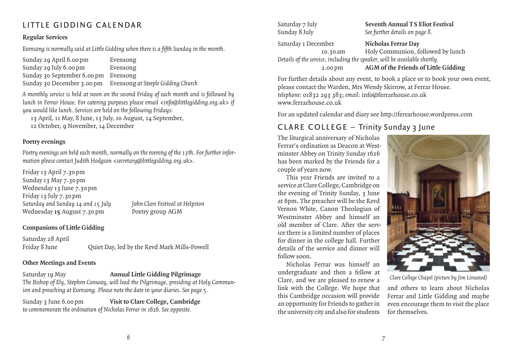# LITTLE GIDDING CALENDAR

#### **Regular Services**

*Evensong is normally said at Little Gidding when there is a fi fth Sunday in the month.*

Sunday 29 April 6.00 pm Evensong Sunday 29 July 6.00 pm Evensong Sunday 30 September 6.00 pm Evensong Sunday 30 December 3.00 pm Evensong *at Steeple Gidding Church*

*A monthly service is held at noon on the second Friday of each month and is followed by lunch in Ferrar House. For catering purposes please email <info@littlegidding.org.uk> if you would like lunch. Services are held on the following Fridays:*

13 April, 11 May, 8 June, 13 July, 10 August, 14 September, 12 October, 9 November, 14 December

#### **Poetry evenings**

*Poetry evenings are held each month, normally on the evening of the 13th. For further information please contact Judith Hodgson <secretary@littlegidding.org.uk>.*

Friday 13 April 7.30 pm Sunday 13 May 7.30 pm Wednesday 13 June 7.30 pm Friday 13 July 7.30 pm *Saturday and Sunday 14 and 15 July John Clare Festival at Helpston* Wednesday **15** August 7.30 pm Poetry group AGM

## **Companions of Little Gidding**

Saturday 28 April Friday 8 June Cuiet Day, led by the Revd Mark Mills-Powell

### **Other Meetings and Events**

Saturday 19 May **Annual Little Gidding Pilgrimage** *The Bishop of Ely, Stephen Conway, will lead the Pilgrimage, presiding at Holy Communion and preaching at Evensong. Please note the date in your diaries. See page 5 .*

Sunday 3 June 6.00 pm **Visit to Clare College, Cambridge** *to commemorate the ordination of Nicholas Ferrar in 1626. See opposite .*

Saturday 7 July **Seventh Annual T S Eliot Festival**<br>Sunday 8 July See further details on page 8. See further details on page 8.

Saturday 1 December **Nicholas Ferrar Day** 10.30 am Holy Communion, followed by lunch *Details of the service, including the speaker, will be available shortly.* 2.00 pm **AGM of the Friends of Little Gidding**

For further details about any event, to book a place or to book your own event, please contact the Warden, Mrs Wendy Skirrow, at Ferrar House. *telephone:* 01832 293 383; *email:* info@ferrarhouse.co.uk www.ferrarhouse.co.uk

For an updated calendar and diary see http://ferrarhouse.wordpress.com

# CLARE COLLEGE – Trinity Sunday 3 June

The liturgical anniversary of Nicholas Ferrar's ordination as Deacon at Westminster Abbey on Trinity Sunday 1626 has been marked by the Friends for a couple of years now.

This year Friends are invited to a service at Clare College, Cambridge on the evening of Trinity Sunday, 3 June at 6pm. The preacher will be the Revd Vernon White, Canon Theologian of Westminster Abbey and himself an old member of Clare. After the service there is a limited number of places for dinner in the college hall. Further details of the service and dinner will follow soon.

Nicholas Ferrar was himself an undergraduate and then a fellow at Clare, and we are pleased to renew a link with the College. We hope that this Cambridge occasion will provide an opportunity for Friends to gather in the university city and also for students



*Clare College Chapel (picture by Jim Linwood)*

and others to learn about Nicholas Ferrar and Little Gidding and maybe even encourage them to visit the place for themselves.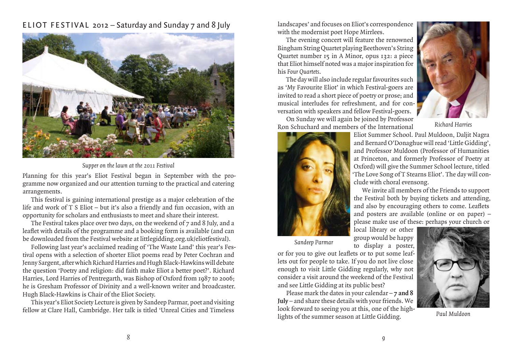## ELIOT FESTIVAL 2012 – Saturday and Sunday 7 and 8 July



*Supper on the lawn at the 2011 Festival*

Planning for this year's Eliot Festival began in September with the programme now organized and our attention turning to the practical and catering arrangements.

This festival is gaining international prestige as a major celebration of the life and work of T S Eliot – but it's also a friendly and fun occasion, with an opportunity for scholars and enthusiasts to meet and share their interest.

The Festival takes place over two days, on the weekend of 7 and 8 July, and a leaflet with details of the programme and a booking form is available (and can be downloaded from the Festival website at littlegidding.org.uk/eliotfestival).

Following last year's acclaimed reading of 'The Waste Land' this year's Festival opens with a selection of shorter Eliot poems read by Peter Cochran and Jenny Sargent, after which Richard Harries and Hugh Black-Hawkins will debate the question 'Poetry and religion: did faith make Eliot a better poet?'. Richard Harries, Lord Harries of Pentregarth, was Bishop of Oxford from 1987 to 2006; he is Gresham Professor of Divinity and a well-known writer and broadcaster. Hugh Black-Hawkins is Chair of the Eliot Society.

This year's Eliot Society Lecture is given by Sandeep Parmar, poet and visiting fellow at Clare Hall, Cambridge. Her talk is titled 'Unreal Cities and Timeless

landscapes' and focuses on Eliot's correspondence with the modernist poet Hope Mirrlees.

The evening concert will feature the renowned Bingham String Quartet playing Beethoven's String Quartet number 15 in A Minor, opus 132: a piece that Eliot himself noted was a major inspiration for his *Four Quartets*.

The day will also include regular favourites such as 'My Favourite Eliot' in which Festival-goers are invited to read a short piece of poetry or prose; and musical interludes for refreshment, and for conversation with speakers and fellow Festival-goers.



*Richard Harries*





Eliot Summer School. Paul Muldoon, Daljit Nagra and Bernard O'Donaghue will read 'Little Gidding', and Professor Muldoon (Professor of Humanities at Princeton, and formerly Professor of Poetry at Oxford) will give the Summer School lecture, titled 'The Love Song of T Stearns Eliot'. The day will conclude with choral evensong.

We invite all members of the Friends to support the Festival both by buying tickets and attending, and also by encouraging others to come. Leaflets and posters are available (online or on paper) – please make use of these: perhaps your church or

local library or other group would be happy to display a poster,

*Sandeep Parmar*

or for you to give out leaflets or to put some leaflets out for people to take. If you do not live close enough to visit Little Gidding regularly, why not consider a visit around the weekend of the Festival and see Little Gidding at its public best?

Please mark the dates in your calendar – **7 and 8 July** – and share these details with your friends. We look forward to seeing you at this, one of the highlights of the summer season at Little Gidding.



*Paul Muldoon*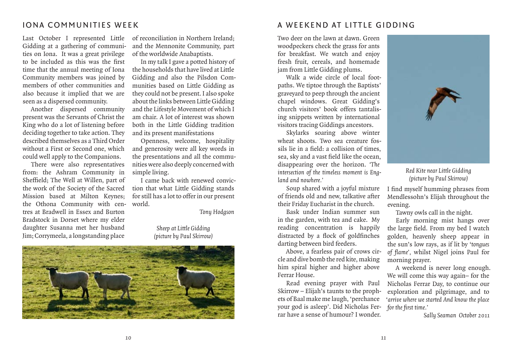## IONA COMMUNITIES WEEK

Last October I represented Little Gidding at a gathering of communities on Iona. It was a great privilege to be included as this was the first time that the annual meeting of Iona Community members was joined by members of other communities and also because it implied that we are seen as a dispersed community.

Another dispersed community present was the Servants of Christ the King who do a lot of listening before deciding together to take action. They described themselves as a Third Order without a First or Second one, which could well apply to the Companions.

There were also representatives from: the Ashram Community in Sheffield; The Well at Willen, part of the work of the Society of the Sacred Mission based at Milton Keynes; the Othona Community with centres at Bradwell in Essex and Burton Bradstock in Dorset where my elder daughter Susanna met her husband Jim; Corrymeela, a longstanding place

of reconciliation in Northern Ireland; and the Mennonite Community, part of the worldwide Anabaptists.

In my talk I gave a potted history of the households that have lived at Little Gidding and also the Pilsdon Communities based on Little Gidding as they could not be present. I also spoke about the links between Little Gidding and the Lifestyle Movement of which I am chair. A lot of interest was shown both in the Little Gidding tradition and its present manifestations

Openness, welcome, hospitality and generosity were all key words in the presentations and all the communities were also deeply concerned with simple living.

I came back with renewed conviction that what Little Gidding stands for still has a lot to offer in our present world.

*Tony Hodgson*

#### *Sheep at Little Gidding (picture by Paul Skirrow)*



## A WEEKEND AT LITTLE GIDDING

Two deer on the lawn at dawn. Green woodpeckers check the grass for ants for breakfast. We watch and enjoy fresh fruit, cereals, and homemade jam from Little Gidding plums.

Walk a wide circle of local footpaths. We tiptoe through the Baptists' graveyard to peep through the ancient chapel windows. Great Gidding's church visitors' book offers tantalising snippets written by international visitors tracing Giddings ancestors.

Skylarks soaring above winter wheat shoots. Two sea creature fossils lie in a field: a collision of times. sea, sky and a vast field like the ocean, disappearing over the horizon. *'The intersection of the timeless moment is England and nowhere.'*

Soup shared with a joyful mixture of friends old and new, talkative after their Friday Eucharist in the church.

Bask under Indian summer sun in the garden, with tea and cake. My reading concentration is happily distracted by a flock of goldfinches darting between bird feeders.

Above, a fearless pair of crows circle and dive bomb the red kite, making him spiral higher and higher above Ferrar House.

Read evening prayer with Paul Skirrow – Elijah's taunts to the prophets of Baal make me laugh, 'perchance your god is asleep'. Did Nicholas Ferrar have a sense of humour? I wonder.



*Red Kite near Little Gidding (picture by Paul Skirrow)*

I find myself humming phrases from Mendlessohn's Elijah throughout the evening.

Tawny owls call in the night.

Early morning mist hangs over the large field. From my bed I watch golden, heavenly sheep appear in the sun's low rays, as if lit by '*tongues*  of flame', whilst Nigel joins Paul for morning prayer.

A weekend is never long enough. We will come this way again– for the Nicholas Ferrar Day, to continue our exploration and pilgrimage, and to '*arrive where we started And know the place for the fi rst time.'*

*Sally Seaman October 2011*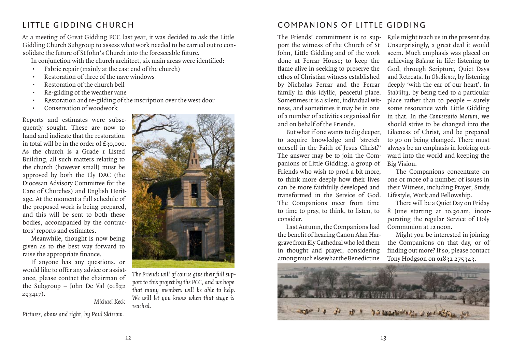# LITTLE GIDDING CHURCH

At a meeting of Great Gidding PCC last year, it was decided to ask the Little Gidding Church Subgroup to assess what work needed to be carried out to consolidate the future of St John's Church into the foreseeable future.

In conjunction with the church architect, six main areas were identified:

- Fabric repair (mainly at the east end of the church)
- Restoration of three of the nave windows
- Restoration of the church bell
- Re-gilding of the weather vane
- Restoration and re-gilding of the inscription over the west door
- Conservation of woodwork

Reports and estimates were subsequently sought. These are now to hand and indicate that the restoration in total will be in the order of £30,000. As the church is a Grade 1 Listed Building, all such matters relating to the church (however small) must be approved by both the Ely DAC (the Diocesan Advisory Committee for the Care of Churches) and English Heritage. At the moment a full schedule of the proposed work is being prepared, and this will be sent to both these bodies, accompanied by the contractors' reports and estimates.

Meanwhile, thought is now being given as to the best way forward to raise the appropriate finance.

If anyone has any questions, or would like to offer any advice or assistance, please contact the chairman of the Subgroup – John De Val  $(0.832)$ 293417).

*Michael Keck*

*Pictures, above and right, by Paul Skirrow.*



*The Friends will of course give their full support to this project by the PCC, and we hope that many members will be able to help. We will let you know when that stage is reached.*

# COMPANIONS OF LITTLE GIDDING

The Friends' commitment is to support the witness of the Church of St John, Little Gidding and of the work done at Ferrar House; to keep the flame alive in seeking to preserve the ethos of Christian witness established by Nicholas Ferrar and the Ferrar family in this idyllic, peaceful place. Sometimes it is a silent, individual witness, and sometimes it may be in one of a number of activities organised for and on behalf of the Friends.

But what if one wants to dig deeper, to acquire knowledge and 'stretch oneself in the Faith of Jesus Christ?' The answer may be to join the Companions of Little Gidding, a group of Friends who wish to prod a bit more, to think more deeply how their lives can be more faithfully developed and transformed in the Service of God. The Companions meet from time to time to pray, to think, to listen, to consider.

Last Autumn, the Companions had the benefit of hearing Canon Alan Hargrave from Ely Cathedral who led them in thought and prayer, considering among much else what the Benedictine

Rule might teach us in the present day. Unsurprisingly, a great deal it would seem. Much emphasis was placed on achieving *Balance* in life: listening to God, through Scripture, Quiet Days and Retreats. In *Obedience*, by listening deeply 'with the ear of our heart'. In *Stability*, by being tied to a particular place rather than to people – surely some resonance with Little Gidding in that. In the *Conversatio Morum*, we should strive to be changed into the Likeness of Christ, and be prepared to go on being changed. There must always be an emphasis in looking outward into the world and keeping the Big Vision.

The Companions concentrate on one or more of a number of issues in their Witness, including Prayer, Study, Lifestyle, Work and Fellowship.

There will be a Quiet Day on Friday 8 June starting at 10.30 am, incorporating the regular Service of Holy Communion at 12 noon.

Might you be interested in joining the Companions on that day, or of finding out more? If so, please contact Tony Hodgson on 01832 275343.

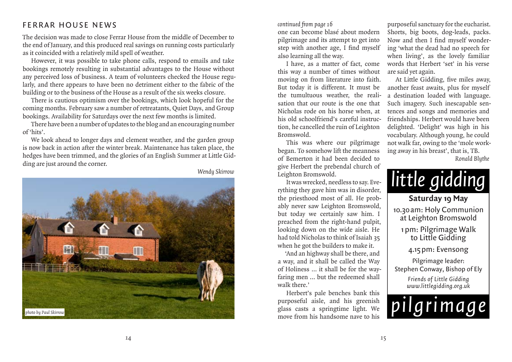## FERRAR HOUSE NEWS

The decision was made to close Ferrar House from the middle of December to the end of January, and this produced real savings on running costs particularly as it coincided with a relatively mild spell of weather.

However, it was possible to take phone calls, respond to emails and take bookings remotely resulting in substantial advantages to the House without any perceived loss of business. A team of volunteers checked the House regularly, and there appears to have been no detriment either to the fabric of the building or to the business of the House as a result of the six weeks closure.

There is cautious optimism over the bookings, which look hopeful for the coming months. February saw a number of retreatants, Quiet Days, and Group bookings. Availability for Saturdays over the next few months is limited.

There have been a number of updates to the blog and an encouraging number of 'hits'.

We look ahead to longer days and clement weather, and the garden group is now back in action after the winter break. Maintenance has taken place, the hedges have been trimmed, and the glories of an English Summer at Little Gidding are just around the corner.

*Wendy Skirrow*



 *continued from page 16*

one can become blasé about modern pilgrimage and its attempt to get into step with another age, I find myself also learning all the way.

I have, as a matter of fact, come this way a number of times without moving on from literature into faith. But today it is different. It must be the tumultuous weather, the realisation that our route is the one that Nicholas rode on his horse when, at his old schoolfriend's careful instruction, he cancelled the ruin of Leighton Bromswold.

This was where our pilgrimage began. To somehow lift the meanness of Bemerton it had been decided to give Herbert the prebendal church of Leighton Bromswold.

It was wrecked, needless to say. Everything they gave him was in disorder, the priesthood most of all. He probably never saw Leighton Bromswold, but today we certainly saw him. I preached from the right-hand pulpit, looking down on the wide aisle. He had told Nicholas to think of Isaiah 35 when he got the builders to make it.

'And an highway shall be there, and a way, and it shall be called the Way of Holiness … it shall be for the wayfaring men … but the redeemed shall walk there.'

Herbert's pale benches bank this purposeful aisle, and his greenish glass casts a springtime light. We move from his handsome nave to his

purposeful sanctuary for the eucharist. Shorts, big boots, dog-leads, packs. Now and then I find myself wondering 'what the dead had no speech for when living', as the lovely familiar words that Herbert 'set' in his verse are said yet again.

At Little Gidding, five miles away, another feast awaits, plus for myself a destination loaded with language. Such imagery. Such inescapable sentences and songs and memories and friendships. Herbert would have been delighted. 'Delight' was high in his vocabulary. Although young, he could not walk far, owing to the 'mole working away in his breast', that is, TB. *Ronald Blythe*